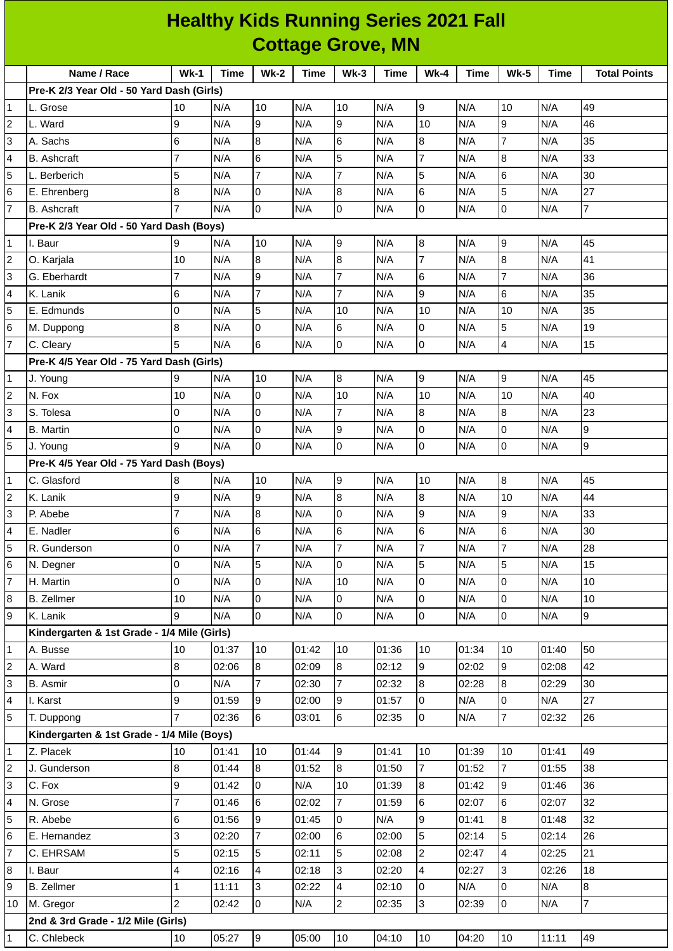| <b>Healthy Kids Running Series 2021 Fall</b> |                                             |                 |             |                 |             |                 |             |                |       |                  |       |                     |
|----------------------------------------------|---------------------------------------------|-----------------|-------------|-----------------|-------------|-----------------|-------------|----------------|-------|------------------|-------|---------------------|
|                                              | <b>Cottage Grove, MN</b>                    |                 |             |                 |             |                 |             |                |       |                  |       |                     |
|                                              | Name / Race                                 | $Wk-1$          | <b>Time</b> | $Wk-2$          | <b>Time</b> | $Wk-3$          | <b>Time</b> | $Wk-4$         | Time  | $Wk-5$           | Time  | <b>Total Points</b> |
|                                              | Pre-K 2/3 Year Old - 50 Yard Dash (Girls)   |                 |             |                 |             |                 |             |                |       |                  |       |                     |
| 1                                            | L. Grose                                    | 10              | N/A         | 10              | N/A         | 10              | N/A         | 9              | N/A   | 10               | N/A   | 49                  |
| 2                                            | L. Ward                                     | 9               | N/A         | $\overline{9}$  | N/A         | 9               | N/A         | 10             | N/A   | 9                | N/A   | 46                  |
| 3                                            | A. Sachs                                    | $6\phantom{.}6$ | N/A         | $\overline{8}$  | N/A         | $6\phantom{.}6$ | N/A         | 8              | N/A   | $\overline{7}$   | N/A   | 35                  |
| 4                                            | <b>B.</b> Ashcraft                          | 7               | N/A         | $6\phantom{.}6$ | N/A         | 5               | N/A         | 7              | N/A   | $\boldsymbol{8}$ | N/A   | 33                  |
| 5                                            | L. Berberich                                | 5               | N/A         | $\overline{7}$  | N/A         | $\overline{7}$  | N/A         | 5              | N/A   | $6\phantom{.}6$  | N/A   | 30                  |
| 6                                            | E. Ehrenberg                                | 8               | N/A         | 0               | N/A         | 8               | N/A         | 6              | N/A   | 5                | N/A   | 27                  |
| $\overline{7}$                               | <b>B.</b> Ashcraft                          | $\overline{7}$  | N/A         | l0              | N/A         | 0               | N/A         | 0              | N/A   | O                | N/A   | $\overline{7}$      |
|                                              | Pre-K 2/3 Year Old - 50 Yard Dash (Boys)    |                 |             |                 |             |                 |             |                |       |                  |       |                     |
| 1                                            | I. Baur                                     | 9               | N/A         | 10              | N/A         | 9               | N/A         | 8              | N/A   | $\overline{9}$   | N/A   | 45                  |
| 2                                            | O. Karjala                                  | 10              | N/A         | $\bf{8}$        | N/A         | 8               | N/A         | 7              | N/A   | $\boldsymbol{8}$ | N/A   | 41                  |
| 3                                            | G. Eberhardt                                | $\overline{7}$  | N/A         | 9               | N/A         | $\overline{7}$  | N/A         | 6              | N/A   | $\overline{7}$   | N/A   | 36                  |
| 4                                            | K. Lanik                                    | $\,$ 6          | N/A         | $\overline{7}$  | N/A         | $\overline{7}$  | N/A         | 9              | N/A   | 6                | N/A   | 35                  |
| 5                                            | E. Edmunds                                  | l0              | N/A         | 5               | N/A         | 10              | N/A         | 10             | N/A   | 10               | N/A   | 35                  |
| 6                                            | M. Duppong                                  | 8               | N/A         | 0               | N/A         | 6               | N/A         | 0              | N/A   | 5                | N/A   | 19                  |
| $\overline{7}$                               | C. Cleary                                   | 5               | N/A         | 6               | N/A         | 0               | N/A         | 0              | N/A   | $\overline{4}$   | N/A   | 15                  |
|                                              | Pre-K 4/5 Year Old - 75 Yard Dash (Girls)   |                 |             |                 |             |                 |             |                |       |                  |       |                     |
| 1                                            | J. Young                                    | 9               | N/A         | 10              | N/A         | 8               | N/A         | 9              | N/A   | $\overline{9}$   | N/A   | 45                  |
| $\overline{c}$                               | N. Fox                                      | 10              | N/A         | 0               | N/A         | 10              | N/A         | 10             | N/A   | 10               | N/A   | 40                  |
| 3                                            | S. Tolesa                                   | l0              | N/A         | $\overline{0}$  | N/A         | $\overline{7}$  | N/A         | 8              | N/A   | $\boldsymbol{8}$ | N/A   | 23                  |
| 4                                            | <b>B.</b> Martin                            | $\overline{0}$  | N/A         | 0               | N/A         | 9               | N/A         | 0              | N/A   | $\pmb{0}$        | N/A   | 9                   |
| 5                                            | J. Young                                    | q               | N/A         | l0              | N/A         | <sup>o</sup>    | N/A         | 0              | N/A   | $\overline{0}$   | N/A   | 9                   |
|                                              | Pre-K 4/5 Year Old - 75 Yard Dash (Boys)    |                 |             |                 |             |                 |             |                |       |                  |       |                     |
| 1                                            | C. Glasford                                 | 8               | N/A         | 10              | N/A         | 9               | N/A         | 10             | N/A   | $\overline{8}$   | N/A   | 45                  |
| $\overline{c}$                               | K. Lanik                                    | 9               | N/A         | 9               | N/A         | 8               | N/A         | 8              | N/A   | 10               | N/A   | 44                  |
| 3                                            | P. Abebe                                    | $\overline{7}$  | N/A         | $\bf{8}$        | N/A         | $\overline{0}$  | N/A         | 9              | N/A   | $\boldsymbol{9}$ | N/A   | 33                  |
| 4                                            | E. Nadler                                   | 6               | N/A         | 6               | N/A         | 6               | N/A         | 6              | N/A   | $\,6$            | N/A   | 30                  |
| 5                                            | R. Gunderson                                | $\overline{0}$  | N/A         | $\overline{7}$  | N/A         | $\overline{7}$  | N/A         | $\overline{7}$ | N/A   | $\overline{7}$   | N/A   | 28                  |
| 6                                            | N. Degner                                   | 0               | N/A         | 5               | N/A         | 0               | N/A         | 5              | N/A   | $\overline{5}$   | N/A   | 15                  |
| $\overline{7}$                               | H. Martin                                   | $\overline{0}$  | N/A         | 0               | N/A         | 10              | N/A         | 0              | N/A   | Iо               | N/A   | 10                  |
| 8                                            | <b>B.</b> Zellmer                           | 10              | N/A         | 0               | N/A         | 0               | N/A         | 0              | N/A   | 0                | N/A   | 10                  |
| 9                                            | K. Lanik                                    | 9               | N/A         | lo              | N/A         | l0              | N/A         | 0              | N/A   | $\overline{0}$   | N/A   | 9                   |
|                                              | Kindergarten & 1st Grade - 1/4 Mile (Girls) |                 |             |                 |             |                 |             |                |       |                  |       |                     |
| 1                                            | A. Busse                                    | 10              | 01:37       | 10              | 01:42       | 10              | 01:36       | 10             | 01:34 | 10               | 01:40 | 50                  |
| $\overline{c}$                               | A. Ward                                     | 8               | 02:06       | 8               | 02:09       | 8               | 02:12       | 9              | 02:02 | 9                | 02:08 | 42                  |
| 3                                            | <b>B.</b> Asmir                             | l0              | N/A         | $\overline{7}$  | 02:30       | $\overline{7}$  | 02:32       | 8              | 02:28 | $\bf{8}$         | 02:29 | 30                  |
| 4                                            | I. Karst                                    | 9               | 01:59       | 9               | 02:00       | 9               | 01:57       | 0              | N/A   | $\pmb{0}$        | N/A   | 27                  |
| 5                                            | T. Duppong                                  | $\overline{7}$  | 02:36       | 6               | 03:01       | 6               | 02:35       | 0              | N/A   | $\overline{7}$   | 02:32 | 26                  |
|                                              | Kindergarten & 1st Grade - 1/4 Mile (Boys)  |                 |             |                 |             |                 |             |                |       |                  |       |                     |
| 1                                            | Z. Placek                                   | 10              | 01:41       | 10              | 01:44       | 9               | 01:41       | 10             | 01:39 | 10               | 01:41 | 49                  |
| $\overline{c}$                               | J. Gunderson                                | 8               | 01:44       | 8               | 01:52       | 8               | 01:50       | 7              | 01:52 | $\overline{7}$   | 01:55 | 38                  |
| 3                                            | C. Fox                                      | 9               | 01:42       | l0              | N/A         | 10              | 01:39       | 8              | 01:42 | 9                | 01:46 | 36                  |
| 4                                            | N. Grose                                    | 7               | 01:46       | 6               | 02:02       | 7               | 01:59       | 6              | 02:07 | $6\phantom{.}6$  | 02:07 | 32                  |
| 5                                            | R. Abebe                                    | 6               | 01:56       | 9               | 01:45       | 0               | N/A         | 9              | 01:41 | $\bf{8}$         | 01:48 | 32                  |
| 6                                            | E. Hernandez                                | 3               | 02:20       | $\overline{7}$  | 02:00       | 6               | 02:00       | 5              | 02:14 | 5                | 02:14 | 26                  |
| 7                                            | C. EHRSAM                                   | 5               | 02:15       | 5               | 02:11       | 5               | 02:08       | $\overline{2}$ | 02:47 | $\overline{4}$   | 02:25 | 21                  |
| 8                                            | I. Baur                                     | 4               | 02:16       | 4               | 02:18       | 3               | 02:20       | 4              | 02:27 | 3                | 02:26 | 18                  |
| 9                                            | <b>B.</b> Zellmer                           | $\mathbf 1$     | 11:11       | 3               | 02:22       | 4               | 02:10       | 0              | N/A   | $\overline{0}$   | N/A   | $\bf{8}$            |
| 10                                           | M. Gregor                                   | $\overline{2}$  | 02:42       | 0               | N/A         | $\overline{c}$  | 02:35       | 3              | 02:39 | $\overline{0}$   | N/A   | $\overline{7}$      |
|                                              | 2nd & 3rd Grade - 1/2 Mile (Girls)          |                 |             |                 |             |                 |             |                |       |                  |       |                     |
| $\mathbf{1}$                                 | C. Chlebeck                                 | 10              | 05:27       | $\vert$ 9       | 05:00       | 10              | 04:10       | 10             | 04:20 | 10               | 11:11 | 49                  |
|                                              |                                             |                 |             |                 |             |                 |             |                |       |                  |       |                     |